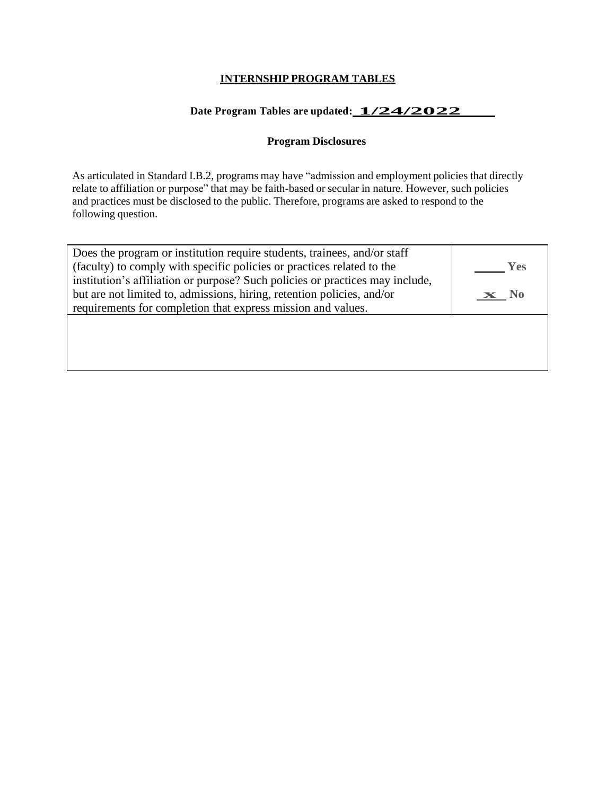## **INTERNSHIP PROGRAM TABLES**

# **Date Program Tables are updated: 1/24/2022**

## **Program Disclosures**

As articulated in Standard I.B.2, programs may have "admission and employment policies that directly relate to affiliation or purpose" that may be faith-based or secular in nature. However, such policies and practices must be disclosed to the public. Therefore, programs are asked to respond to the following question.

| Does the program or institution require students, trainees, and/or staff<br>(faculty) to comply with specific policies or practices related to the      | <b>Yes</b>      |
|---------------------------------------------------------------------------------------------------------------------------------------------------------|-----------------|
| institution's affiliation or purpose? Such policies or practices may include,<br>but are not limited to, admissions, hiring, retention policies, and/or | $\mathbf{x}$ No |
| requirements for completion that express mission and values.                                                                                            |                 |
|                                                                                                                                                         |                 |
|                                                                                                                                                         |                 |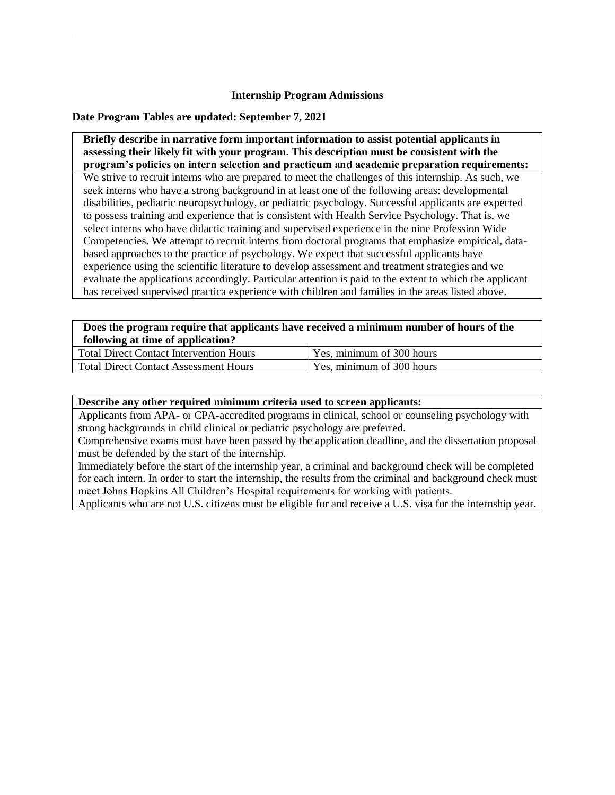#### **Internship Program Admissions**

### **Date Program Tables are updated: September 7, 2021**

**Briefly describe in narrative form important information to assist potential applicants in assessing their likely fit with your program. This description must be consistent with the program's policies on intern selection and practicum and academic preparation requirements:** 

We strive to recruit interns who are prepared to meet the challenges of this internship. As such, we seek interns who have a strong background in at least one of the following areas: developmental disabilities, pediatric neuropsychology, or pediatric psychology. Successful applicants are expected to possess training and experience that is consistent with Health Service Psychology. That is, we select interns who have didactic training and supervised experience in the nine Profession Wide Competencies. We attempt to recruit interns from doctoral programs that emphasize empirical, databased approaches to the practice of psychology. We expect that successful applicants have experience using the scientific literature to develop assessment and treatment strategies and we evaluate the applications accordingly. Particular attention is paid to the extent to which the applicant has received supervised practica experience with children and families in the areas listed above.

| Does the program require that applicants have received a minimum number of hours of the                                                                                                                                                                                                                                                   |                                                                                                                                                                                                                                                                                                                                    |  |  |
|-------------------------------------------------------------------------------------------------------------------------------------------------------------------------------------------------------------------------------------------------------------------------------------------------------------------------------------------|------------------------------------------------------------------------------------------------------------------------------------------------------------------------------------------------------------------------------------------------------------------------------------------------------------------------------------|--|--|
| following at time of application?                                                                                                                                                                                                                                                                                                         |                                                                                                                                                                                                                                                                                                                                    |  |  |
| $\mathbf{m}$ , $\mathbf{m}$ , $\mathbf{m}$ , $\mathbf{m}$ , $\mathbf{m}$ , $\mathbf{m}$ , $\mathbf{m}$ , $\mathbf{m}$ , $\mathbf{m}$ , $\mathbf{m}$ , $\mathbf{m}$ , $\mathbf{m}$ , $\mathbf{m}$ , $\mathbf{m}$ , $\mathbf{m}$ , $\mathbf{m}$ , $\mathbf{m}$ , $\mathbf{m}$ , $\mathbf{m}$ , $\mathbf{m}$ , $\mathbf{m}$ , $\mathbf{m}$ , | $\mathbf{v}$ $\mathbf{v}$ $\mathbf{v}$ $\mathbf{v}$ $\mathbf{v}$ $\mathbf{v}$ $\mathbf{v}$ $\mathbf{v}$ $\mathbf{v}$ $\mathbf{v}$ $\mathbf{v}$ $\mathbf{v}$ $\mathbf{v}$ $\mathbf{v}$ $\mathbf{v}$ $\mathbf{v}$ $\mathbf{v}$ $\mathbf{v}$ $\mathbf{v}$ $\mathbf{v}$ $\mathbf{v}$ $\mathbf{v}$ $\mathbf{v}$ $\mathbf{v}$ $\mathbf{$ |  |  |

| <b>Total Direct Contact Intervention Hours</b> | Yes, minimum of 300 hours |
|------------------------------------------------|---------------------------|
| <b>Total Direct Contact Assessment Hours</b>   | Yes, minimum of 300 hours |

#### **Describe any other required minimum criteria used to screen applicants:**

Applicants from APA- or CPA-accredited programs in clinical, school or counseling psychology with strong backgrounds in child clinical or pediatric psychology are preferred.

Comprehensive exams must have been passed by the application deadline, and the dissertation proposal must be defended by the start of the internship.

Immediately before the start of the internship year, a criminal and background check will be completed for each intern. In order to start the internship, the results from the criminal and background check must meet Johns Hopkins All Children's Hospital requirements for working with patients.

Applicants who are not U.S. citizens must be eligible for and receive a U.S. visa for the internship year.